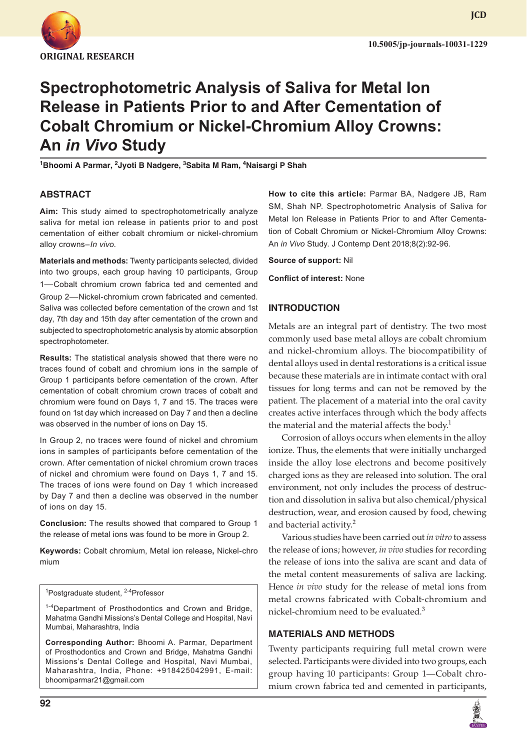

**JCD**

# **Spectrophotometric Analysis of Saliva for Metal Ion Release in Patients Prior to and After Cementation of Cobalt Chromium or Nickel-Chromium Alloy Crowns: An** *in Vivo* **Study**

<sup>1</sup>Bhoomi A Parmar, <sup>2</sup>Jyoti B Nadgere, <sup>3</sup>Sabita M Ram, <sup>4</sup>Naisargi P Shah

#### **ABSTRACT**

**Aim:** This study aimed to spectrophotometrically analyze saliva for metal ion release in patients prior to and post cementation of either cobalt chromium or nickel-chromium alloy crowns–*In vivo*.

**Materials and methods:** Twenty participants selected, divided into two groups, each group having 10 participants, Group 1—Cobalt chromium crown fabrica ted and cemented and Group 2—Nickel-chromium crown fabricated and cemented. Saliva was collected before cementation of the crown and 1st day, 7th day and 15th day after cementation of the crown and subjected to spectrophotometric analysis by atomic absorption spectrophotometer.

**Results:** The statistical analysis showed that there were no traces found of cobalt and chromium ions in the sample of Group 1 participants before cementation of the crown. After cementation of cobalt chromium crown traces of cobalt and chromium were found on Days 1, 7 and 15. The traces were found on 1st day which increased on Day 7 and then a decline was observed in the number of ions on Day 15.

In Group 2, no traces were found of nickel and chromium ions in samples of participants before cementation of the crown. After cementation of nickel chromium crown traces of nickel and chromium were found on Days 1, 7 and 15. The traces of ions were found on Day 1 which increased by Day 7 and then a decline was observed in the number of ions on day 15.

**Conclusion:** The results showed that compared to Group 1 the release of metal ions was found to be more in Group 2.

**Keywords:** Cobalt chromium, Metal ion release**,** Nickel-chro mium

<sup>1</sup>Postgraduate student, <sup>2-4</sup>Professor

<sup>1-4</sup>Department of Prosthodontics and Crown and Bridge, Mahatma Gandhi Missions's Dental College and Hospital, Navi Mumbai, Maharashtra, India

**Corresponding Author:** Bhoomi A. Parmar, Department of Prosthodontics and Crown and Bridge, Mahatma Gandhi Missions's Dental College and Hospital, Navi Mumbai, Maharashtra, India, Phone: +918425042991, E-mail: bhoomiparmar21@gmail.com

**How to cite this article:** Parmar BA, Nadgere JB, Ram SM, Shah NP. Spectrophotometric Analysis of Saliva for Metal Ion Release in Patients Prior to and After Cementation of Cobalt Chromium or Nickel-Chromium Alloy Crowns: An *in Vivo* Study. J Contemp Dent 2018;8(2):92-96.

**Source of support:** Nil

**Conflict of interest:** None

#### **INTRODUCTION**

Metals are an integral part of dentistry. The two most commonly used base metal alloys are cobalt chromium and nickel-chromium alloys. The biocompatibility of dental alloys used in dental restorations is a critical issue because these materials are in intimate contact with oral tissues for long terms and can not be removed by the patient. The placement of a material into the oral cavity creates active interfaces through which the body affects the material and the material affects the body.<sup>1</sup>

Corrosion of alloys occurs when elements in the alloy ionize. Thus, the elements that were initially uncharged inside the alloy lose electrons and become positively charged ions as they are released into solution. The oral environment, not only includes the process of destruction and dissolution in saliva but also chemical/physical destruction, wear, and erosion caused by food, chewing and bacterial activity.<sup>2</sup>

Various studies have been carried out *in vitro* to assess the release of ions; however, *in vivo* studies for recording the release of ions into the saliva are scant and data of the metal content measurements of saliva are lacking. Hence *in vivo* study for the release of metal ions from metal crowns fabricated with Cobalt-chromium and nickel-chromium need to be evaluated.<sup>3</sup>

#### **MATERIALS AND METHODS**

Twenty participants requiring full metal crown were selected. Participants were divided into two groups, each group having 10 participants: Group 1—Cobalt chromium crown fabrica ted and cemented in participants,

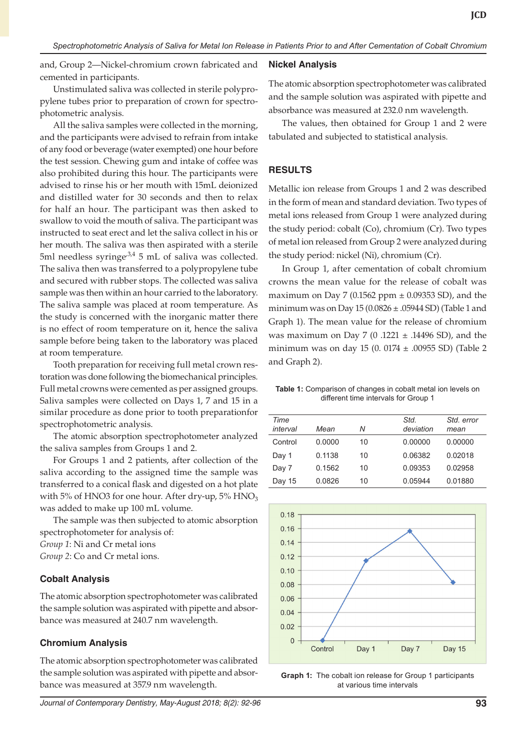and, Group 2—Nickel-chromium crown fabricated and cemented in participants.

Unstimulated saliva was collected in sterile polypropylene tubes prior to preparation of crown for spectrophotometric analysis.

All the saliva samples were collected in the morning, and the participants were advised to refrain from intake of any food or beverage (water exempted) one hour before the test session. Chewing gum and intake of coffee was also prohibited during this hour. The participants were advised to rinse his or her mouth with 15mL deionized and distilled water for 30 seconds and then to relax for half an hour. The participant was then asked to swallow to void the mouth of saliva. The participant was instructed to seat erect and let the saliva collect in his or her mouth. The saliva was then aspirated with a sterile 5ml needless syringe<sup>3,4</sup> 5 mL of saliva was collected. The saliva then was transferred to a polypropylene tube and secured with rubber stops. The collected was saliva sample was then within an hour carried to the laboratory. The saliva sample was placed at room temperature. As the study is concerned with the inorganic matter there is no effect of room temperature on it, hence the saliva sample before being taken to the laboratory was placed at room temperature.

Tooth preparation for receiving full metal crown restoration was done following the biomechanical principles. Full metal crowns were cemented as per assigned groups. Saliva samples were collected on Days 1, 7 and 15 in a similar procedure as done prior to tooth preparationfor spectrophotometric analysis.

The atomic absorption spectrophotometer analyzed the saliva samples from Groups 1 and 2.

For Groups 1 and 2 patients, after collection of the saliva according to the assigned time the sample was transferred to a conical flask and digested on a hot plate with 5% of HNO3 for one hour. After dry-up,  $5\%$  HNO<sub>3</sub> was added to make up 100 mL volume.

The sample was then subjected to atomic absorption spectrophotometer for analysis of: *Group 1*: Ni and Cr metal ions

*Group 2*: Co and Cr metal ions.

# **Cobalt Analysis**

The atomic absorption spectrophotometer was calibrated the sample solution was aspirated with pipette and absorbance was measured at 240.7 nm wavelength.

# **Chromium Analysis**

The atomic absorption spectrophotometer was calibrated the sample solution was aspirated with pipette and absorbance was measured at 357.9 nm wavelength.

#### **Nickel Analysis**

The atomic absorption spectrophotometer was calibrated and the sample solution was aspirated with pipette and absorbance was measured at 232.0 nm wavelength.

The values, then obtained for Group 1 and 2 were tabulated and subjected to statistical analysis.

## **RESULTS**

Metallic ion release from Groups 1 and 2 was described in the form of mean and standard deviation. Two types of metal ions released from Group 1 were analyzed during the study period: cobalt (Co), chromium (Cr). Two types of metal ion released from Group 2 were analyzed during the study period: nickel (Ni), chromium (Cr).

In Group 1, after cementation of cobalt chromium crowns the mean value for the release of cobalt was maximum on Day 7 (0.1562 ppm  $\pm$  0.09353 SD), and the minimum was on Day  $15 (0.0826 \pm .05944$  SD) (Table 1 and Graph 1). The mean value for the release of chromium was maximum on Day 7 (0 .1221  $\pm$  .14496 SD), and the minimum was on day 15 (0. 0174 ± .00955 SD) (Table 2 and Graph 2).

**Table 1:** Comparison of changes in cobalt metal ion levels on different time intervals for Group 1

| Time     |        |    | Std.      | Std. error |
|----------|--------|----|-----------|------------|
| interval | Mean   | Ν  | deviation | mean       |
| Control  | 0.0000 | 10 | 0.00000   | 0.00000    |
| Day 1    | 0.1138 | 10 | 0.06382   | 0.02018    |
| Day 7    | 0.1562 | 10 | 0.09353   | 0.02958    |
| Day 15   | 0.0826 | 10 | 0.05944   | 0.01880    |



**Graph 1:** The cobalt ion release for Group 1 participants at various time intervals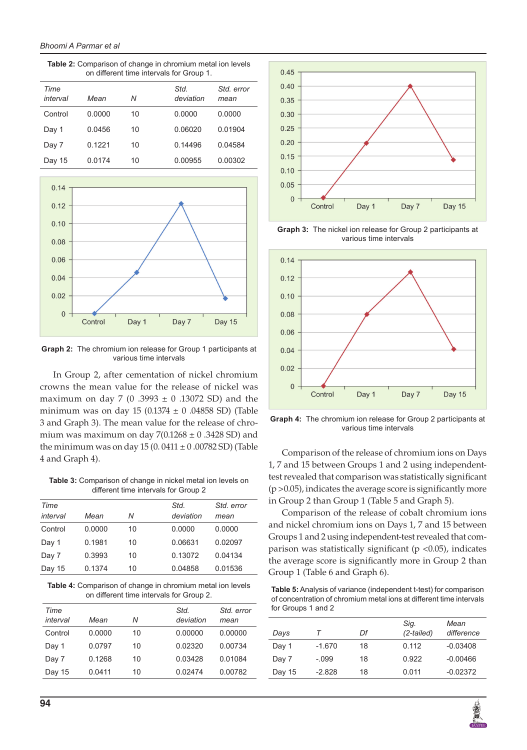**Table 2:** Comparison of change in chromium metal ion levels on different time intervals for Group 1.

| Time<br>interval | Mean   | Ν  | Std.<br>deviation | Std. error<br>mean |
|------------------|--------|----|-------------------|--------------------|
| Control          | 0.0000 | 10 | 0.0000            | 0.0000             |
| Day 1            | 0.0456 | 10 | 0.06020           | 0.01904            |
| Day 7            | 0.1221 | 10 | 0.14496           | 0.04584            |
| Day 15           | 0.0174 | 10 | 0.00955           | 0.00302            |



**Graph 2:** The chromium ion release for Group 1 participants at various time intervals

In Group 2, after cementation of nickel chromium crowns the mean value for the release of nickel was maximum on day 7 (0 .3993  $\pm$  0 .13072 SD) and the minimum was on day 15 (0.1374  $\pm$  0 .04858 SD) (Table 3 and Graph 3). The mean value for the release of chromium was maximum on day  $7(0.1268 \pm 0.3428$  SD) and the minimum was on day  $15 (0.0411 \pm 0.00782 \text{ SD})$  (Table 4 and Graph 4).

**Table 3:** Comparison of change in nickel metal ion levels on different time intervals for Group 2

| Time<br>interval | Mean   | Ν  | Std.<br>deviation | Std. error<br>mean |
|------------------|--------|----|-------------------|--------------------|
| Control          | 0.0000 | 10 | 0.0000            | 0.0000             |
| Day 1            | 0.1981 | 10 | 0.06631           | 0.02097            |
| Day 7            | 0.3993 | 10 | 0.13072           | 0.04134            |
| Day 15           | 0.1374 | 10 | 0.04858           | 0.01536            |

**Table 4:** Comparison of change in chromium metal ion levels on different time intervals for Group 2.

| Time<br>interval | Mean   | Ν  | Std.<br>deviation | Std. error<br>mean |
|------------------|--------|----|-------------------|--------------------|
| Control          | 0.0000 | 10 | 0.00000           | 0.00000            |
| Day 1            | 0.0797 | 10 | 0.02320           | 0.00734            |
| Day 7            | 0.1268 | 10 | 0.03428           | 0.01084            |
| Day 15           | 0.0411 | 10 | 0.02474           | 0.00782            |



**Graph 3:** The nickel ion release for Group 2 participants at various time intervals



**Graph 4:** The chromium ion release for Group 2 participants at various time intervals

Comparison of the release of chromium ions on Days 1, 7 and 15 between Groups 1 and 2 using independenttest revealed that comparison was statistically significant (p >0.05), indicates the average score is significantly more in Group 2 than Group 1 (Table 5 and Graph 5).

Comparison of the release of cobalt chromium ions and nickel chromium ions on Days 1, 7 and 15 between Groups 1 and 2 using independent-test revealed that comparison was statistically significant ( $p$  <0.05), indicates the average score is significantly more in Group 2 than Group 1 (Table 6 and Graph 6).

**Table 5:** Analysis of variance (independent t-test) for comparison of concentration of chromium metal ions at different time intervals for Groups 1 and 2

| Days   |          | Df | Sig.<br>$(2-tailed)$ | Mean<br>difference |
|--------|----------|----|----------------------|--------------------|
| Day 1  | $-1.670$ | 18 | 0.112                | $-0.03408$         |
| Day 7  | $-.099$  | 18 | 0.922                | $-0.00466$         |
| Day 15 | $-2.828$ | 18 | 0.011                | $-0.02372$         |

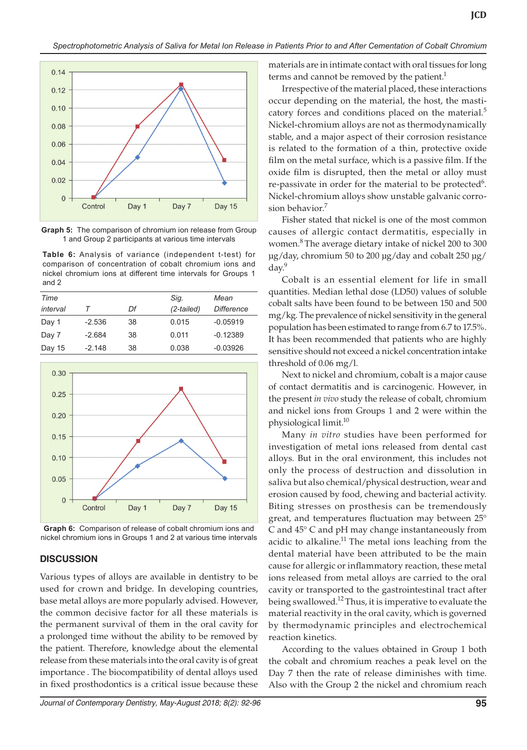

**Graph 5:** The comparison of chromium ion release from Group 1 and Group 2 participants at various time intervals

**Table 6:** Analysis of variance (independent t-test) for comparison of concentration of cobalt chromium ions and nickel chromium ions at different time intervals for Groups 1 and 2

| Time     |          |    | Sig.         | Mean              |
|----------|----------|----|--------------|-------------------|
| interval |          | Df | $(2-tailed)$ | <b>Difference</b> |
| Day 1    | $-2.536$ | 38 | 0.015        | $-0.05919$        |
| Day 7    | $-2.684$ | 38 | 0.011        | $-0.12389$        |
| Day 15   | $-2.148$ | 38 | 0.038        | $-0.03926$        |
|          |          |    |              |                   |



**Graph 6:** Comparison of release of cobalt chromium ions and nickel chromium ions in Groups 1 and 2 at various time intervals

#### **DISCUSSION**

Various types of alloys are available in dentistry to be used for crown and bridge. In developing countries, base metal alloys are more popularly advised. However, the common decisive factor for all these materials is the permanent survival of them in the oral cavity for a prolonged time without the ability to be removed by the patient. Therefore, knowledge about the elemental release from these materials into the oral cavity is of great importance . The biocompatibility of dental alloys used in fixed prosthodontics is a critical issue because these

materials are in intimate contact with oral tissues for long terms and cannot be removed by the patient.<sup>1</sup>

Irrespective of the material placed, these interactions occur depending on the material, the host, the masticatory forces and conditions placed on the material.<sup>5</sup> Nickel-chromium alloys are not as thermodynamically stable, and a major aspect of their corrosion resistance is related to the formation of a thin, protective oxide film on the metal surface, which is a passive film. If the oxide film is disrupted, then the metal or alloy must re-passivate in order for the material to be protected<sup>6</sup>. Nickel-chromium alloys show unstable galvanic corrosion behavior.<sup>7</sup>

Fisher stated that nickel is one of the most common causes of allergic contact dermatitis, especially in women.<sup>8</sup> The average dietary intake of nickel 200 to 300 μg/day, chromium 50 to 200 μg/day and cobalt 250 μg/ day.9

Cobalt is an essential element for life in small quantities. Median lethal dose (LD50) values of soluble cobalt salts have been found to be between 150 and 500 mg/kg. The prevalence of nickel sensitivity in the general population has been estimated to range from 6.7 to 17.5%. It has been recommended that patients who are highly sensitive should not exceed a nickel concentration intake threshold of 0.06 mg/l.

Next to nickel and chromium, cobalt is a major cause of contact dermatitis and is carcinogenic. However, in the present *in vivo* study the release of cobalt, chromium and nickel ions from Groups 1 and 2 were within the physiological limit.10

Many *in vitro* studies have been performed for investigation of metal ions released from dental cast alloys. But in the oral environment, this includes not only the process of destruction and dissolution in saliva but also chemical/physical destruction, wear and erosion caused by food, chewing and bacterial activity. Biting stresses on prosthesis can be tremendously great, and temperatures fluctuation may between 25° C and 45° C and pH may change instantaneously from acidic to alkaline.<sup>11</sup> The metal ions leaching from the dental material have been attributed to be the main cause for allergic or inflammatory reaction, these metal ions released from metal alloys are carried to the oral cavity or transported to the gastrointestinal tract after being swallowed.<sup>12</sup> Thus, it is imperative to evaluate the material reactivity in the oral cavity, which is governed by thermodynamic principles and electrochemical reaction kinetics.

According to the values obtained in Group 1 both the cobalt and chromium reaches a peak level on the Day 7 then the rate of release diminishes with time. Also with the Group 2 the nickel and chromium reach